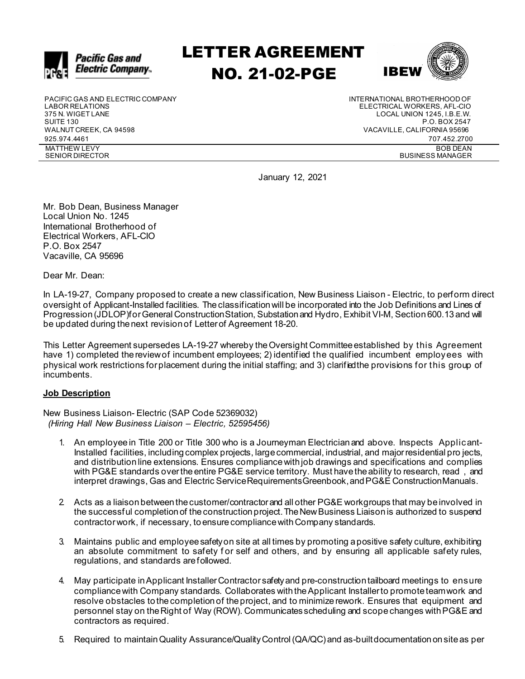

# LETTER AGREEMENT NO. 21-02-PGE



PACIFIC GAS AND ELECTRIC COMPANY UNITERNATIONAL BROTHERHOOD OF LABOR RELATIONS<br>LABOR RELATIONS UNITED AND RELATIONS LABOR RELATIONS ELECTRICAL WORKERS, AFL-CIO 375 N. WIGET LANE LOCAL UNION 1245, I.B.E.W. WALNUT CREEK, CA 94598 VACAVILLE, CALIFORNIA 95696 925.974.4461 707.452.2700 MATTHEW LEVY SENIOR DIRECTOR

P.O. BOX 2547 BOB DEAN BUSINESS MANAGER

January 12, 2021

Mr. Bob Dean, Business Manager Local Union No. 1245 International Brotherhood of Electrical Workers, AFL-CIO P.O. Box 2547 Vacaville, CA 95696

Dear Mr. Dean:

In LA-19-27, Company proposed to create a new classification, New Business Liaison - Electric, to perform direct oversight of Applicant-Installed facilities. Theclassificationwill be incorporated into the Job Definitions and Lines of Progression(JDLOP)forGeneral ConstructionStation, Substationand Hydro, Exhibit VI-M, Section600.13and will be updated during thenext revisionof Letterof Agreement 18-20.

This Letter Agreement supersedes LA-19-27 whereby the Oversight Committee established by this Agreement have 1) completed thereviewof incumbent employees; 2) identified the qualified incumbent employees with physical work restrictions forplacement during the initial staffing; and 3) clarifiedthe provisions for this group of incumbents.

## **Job Description**

New Business Liaison- Electric (SAP Code 52369032) *(Hiring Hall New Business Liaison – Electric, 52595456)*

- 1. An employeein Title 200 or Title 300 who is a Journeyman Electricianand above. Inspects Applicant-Installed facilities, includingcomplex projects, largecommercial, industrial, and majorresidential pro jects, and distributionline extensions. Ensures compliancewithjob drawings and specifications and complies with PG&E standards over the entire PG&E service territory. Must have the ability to research, read, and interpret drawings, Gas and Electric ServiceRequirementsGreenbook,andPG&E ConstructionManuals.
- 2. Acts as a liaison between the customer/contractor and all other PG&E workgroups that may be involved in the successful completion of the construction project. The New Business Liaison is authorized to suspend contractorwork, if necessary, toensurecompliancewithCompany standards.
- 3. Maintains public and employeesafetyon site at all times by promoting a positive safety culture, exhibiting an absolute commitment to safety for self and others, and by ensuring all applicable safety rules, regulations, and standards arefollowed.
- 4. May participate inApplicant InstallerContractor safetyand pre-constructiontailboard meetings to ensure compliancewith Company standards. Collaborates withtheApplicant Installerto promoteteamwork and resolve obstacles tothecompletionof theproject, and to minimizerework. Ensures that equipment and personnel stay on theRight of Way (ROW). Communicatesscheduling and scopechanges withPG&E and contractors as required.
- 5. Required to maintainQuality Assurance/QualityControl(QA/QC)and as-builtdocumentationonsiteas per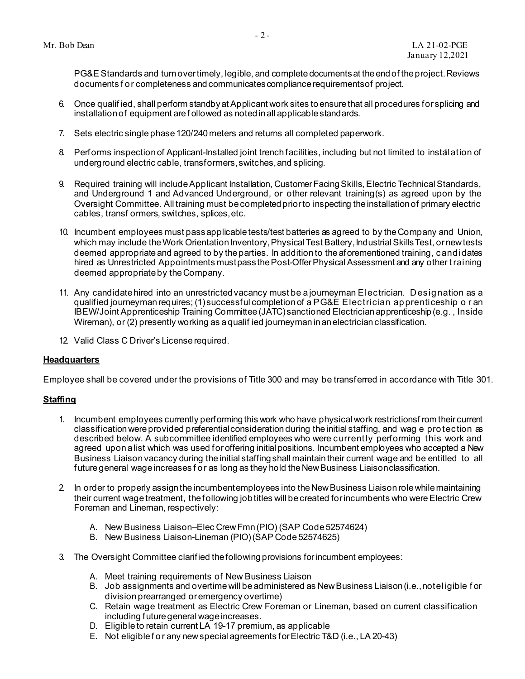PG&E Standards and turnovertimely, legible, and completedocumentsat theendof theproject.Reviews documents for completeness andcommunicatescompliancerequirementsof project.

- 6. Once qualif ied, shall perform standbyat Applicant work sites toensurethat all procedures for splicing and installationof equipment are f ollowed as notedinall applicablestandards.
- 7. Sets electric single phase 120/240 meters and returns all completed paperwork.
- 8. Performs inspectionof Applicant-Installed joint trenchfacilities, including but not limited to installation of underground electric cable, transformers,switches,and splicing.
- 9. Required training will include Applicant Installation, Customer Facing Skills, Electric Technical Standards, and Underground 1 and Advanced Underground, or other relevant training(s) as agreed upon by the Oversight Committee. All training must be completed prior to inspecting the installation of primary electric cables, transf ormers, switches, splices,etc.
- 10. Incumbent employees must passapplicabletests/test batteries as agreed to by theCompany and Union, which may include the Work Orientation Inventory, Physical Test Battery, Industrial Skills Test, or new tests deemed appropriate and agreed to by the parties. In addition to the aforementioned training, candidates hired as Unrestricted Appointments mustpass the Post-Offer Physical Assessment and any other t raining deemed appropriateby theCompany.
- 11. Any candidatehired into an unrestrictedvacancy must be a journeyman Electrician. Designation as a qualified journeymanrequires; (1) successful completionof a P G&E Electrician apprenticeship o r an IBEW/Joint Apprenticeship Training Committee(JATC) sanctioned Electricianapprenticeship (e.g. , Inside Wireman), or (2) presently working as a qualif ied journeymaninanelectricianclassification.
- 12. Valid Class C Driver's Licenserequired.

## **Headquarters**

Employee shall be covered under the provisions of Title 300 and may be transferred in accordance with Title 301.

## **Staffing**

- 1. Incumbent employees currently performing this work who have physical work restrictionsf rom their current classificationwereprovided preferentialconsiderationduring theinitial staffing, and wag e protection as described below. A subcommittee identified employees who were currently performing this work and agreed upon a list which was used foroffering initial positions. Incumbent employees who accepted a New Business Liaisonvacancy during theinitial staffingshall maintaintheir current wage and be entitled to all future general wage increases for as long as they hold the New Business Liaison classification.
- 2. In order to properly assign the incumbentemployees into the New Business Liaison role while maintaining their current wage treatment, the following job titles will be created for incumbents who were Electric Crew Foreman and Lineman, respectively:
	- A. New Business Liaison–Elec Crew Fmn (PIO) (SAP Code 52574624)
	- B. New Business Liaison-Lineman (PIO) (SAP Code 52574625)
- 3. The Oversight Committee clarified thefollowingprovisions forincumbent employees:
	- A. Meet training requirements of New Business Liaison
	- B. Job assignments and overtimewill beadministered as NewBusiness Liaison(i.e.,noteligible f or divisionprearranged oremergency overtime)
	- C. Retain wage treatment as Electric Crew Foreman or Lineman, based on current classification including future general wage increases.
	- D. Eligibleto retain current LA 19-17 premium, as applicable
	- E. Not eligiblefor any newspecial agreements forElectric T&D (i.e., LA 20-43)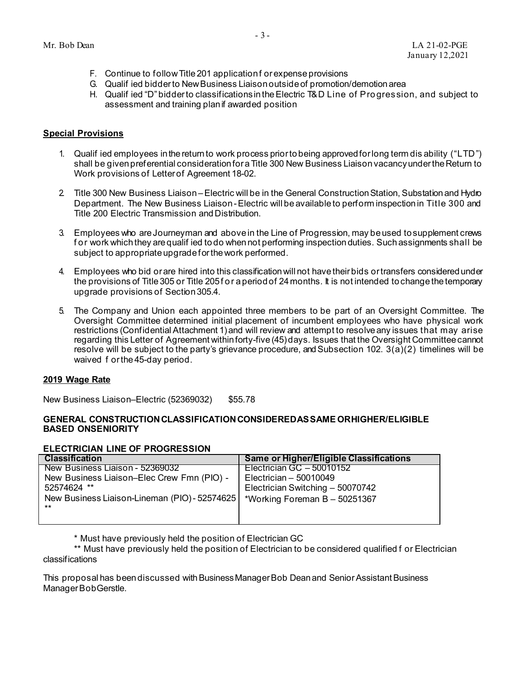- F. Continue to follow Title 201 application for expense provisions
- G. Qualif ied bidderto NewBusiness Liaisonoutsideof promotion/demotion area
- H. Qualif ied "D"bidderto classificationsintheElectric T& D Line of Progression, and subject to assessment and training planif awarded position

## **Special Provisions**

- 1. Qualif ied employees inthereturnto work process priortobeing approvedforlong term dis ability ("LTD") shall be given preferential consideration for a Title 300 New Business Liaison vacancy under the Return to Work provisions of Letterof Agreement 18-02.
- 2 Title 300 New Business Liaison Electric will be in the General Construction Station, Substation and Hydro Department. The New Business Liaison - Electric will be available to perform inspection in Title 300 and Title 200 Electric Transmission and Distribution.
- 3. Employees who areJourneyman and abovein the Line of Progression, may beused tosupplement crews for work which they are qualif ied todo when not performing inspection duties. Such assignments shall be subject to appropriate upgrade for the work performed.
- 4. Employees who bid or are hired into this classification will not have their bids or transfers considered under the provisions of Title305 or Title 205for a periodof 24months. It is not intended tochangethetemporary upgrade provisions of Section305.4.
- 5. The Company and Union each appointed three members to be part of an Oversight Committee. The Oversight Committee determined initial placement of incumbent employees who have physical work restrictions (ConfidentialAttachment 1)and will review and attempt to resolveany issues that m ay arise regarding this Letter of Agreement within forty-five (45) days. Issues that the Oversight Committee cannot resolve will be subject to the party's grievance procedure, and Subsection 102. 3(a)(2) timelines will be waived f orthe45-day period.

## **2019 Wage Rate**

New Business Liaison–Electric (52369032) \$55.78

## **GENERAL CONSTRUCTIONCLASSIFICATIONCONSIDEREDASSAME ORHIGHER/ELIGIBLE BASED ONSENIORITY**

## **ELECTRICIAN LINE OF PROGRESSION**

| <b>Classification</b>                                  | Same or Higher/Eligible Classifications |
|--------------------------------------------------------|-----------------------------------------|
| New Business Liaison - 52369032                        | Electrician GC $-50010152$              |
| New Business Liaison-Elec Crew Fmn (PIO) -             | Electrician $-50010049$                 |
| 52574624 **                                            | Electrician Switching - 50070742        |
| New Business Liaison-Lineman (PIO) - 52574625<br>$***$ | *Working Foreman $B - 50251367$         |
|                                                        |                                         |

\* Must have previously held the position of Electrician GC

\*\* Must have previously held the position of Electrician to be considered qualified f or Electrician classifications

This proposal has beendiscussed with BusinessManagerBob Deanand SeniorAssistant Business ManagerBobGerstle.